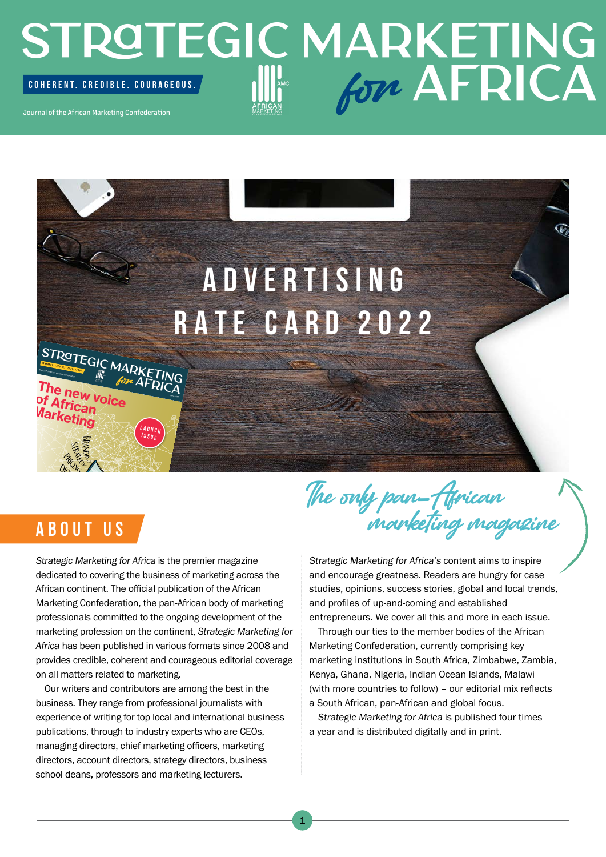## STROTEGIC MARKETING Journal of the African Marketing Confederation COHERENT. CREDIBLE. COURAGEOUS. **AFRICA**

# **A D V E R T I S I N G RATE CARD 2022**

### **SUPPLY**

**STRATEGIC MARKETING**<br> **AFRICA**<br> **The notation of AFRICA** 

new voice

African **larketing** 

**COHERENT. CREDIBLE. COURAGEOUS.**<br>Journal of the African Marketing Confederation.

Strategic Marketing for Africa is the premier magazine dedicated to covering the business of marketing across the African continent. The official publication of the African Marketing Confederation, the pan-African body of marketing professionals committed to the ongoing development of the marketing profession on the continent, *Strategic Marketing for Africa* has been published in various formats since 2008 and provides credible, coherent and courageous editorial coverage on all matters related to marketing.

Issue 1 2021

**<sup>L</sup> <sup>A</sup> <sup>U</sup> <sup>N</sup> <sup>C</sup> <sup>H</sup> ISSUE**

Our writers and contributors are among the best in the business. They range from professional journalists with experience of writing for top local and international business publications, through to industry experts who are CEOs, managing directors, chief marketing officers, marketing directors, account directors, strategy directors, business school deans, professors and marketing lecturers.

The only pan-African **ABOUT US** marketing magazine

Strategic Marketing for Africa's content aims to inspire and encourage greatness. Readers are hungry for case studies, opinions, success stories, global and local trends, and profiles of up-and-coming and established entrepreneurs. We cover all this and more in each issue.

Through our ties to the member bodies of the African Marketing Confederation, currently comprising key marketing institutions in South Africa, Zimbabwe, Zambia, Kenya, Ghana, Nigeria, Indian Ocean Islands, Malawi (with more countries to follow) – our editorial mix reflects a South African, pan-African and global focus.

Strategic Marketing for Africa is published four times a year and is distributed digitally and in print.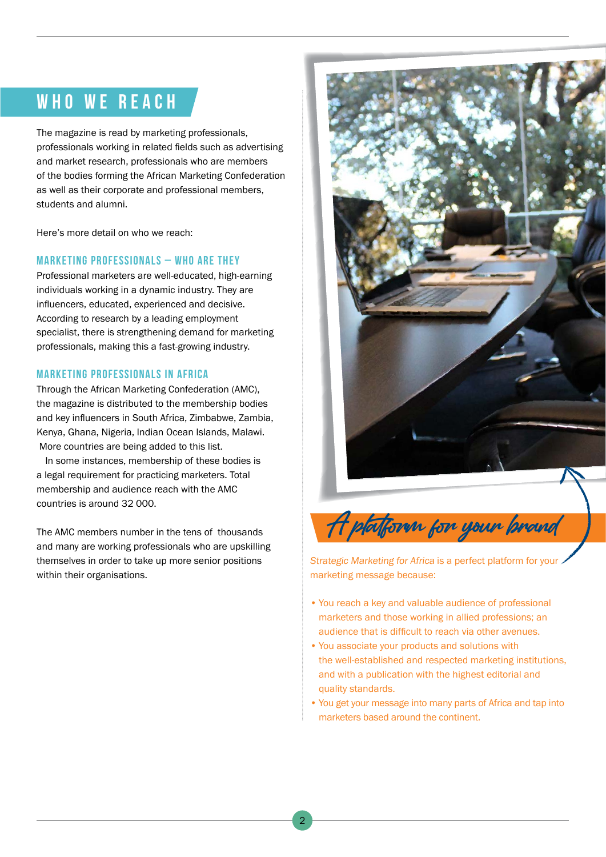### **WHO WE REACH**

The magazine is read by marketing professionals, professionals working in related fields such as advertising and market research, professionals who are members of the bodies forming the African Marketing Confederation as well as their corporate and professional members, students and alumni.

Here's more detail on who we reach:

#### **MARKETING PROFESSIONALS – WHO ARE THEY**

Professional marketers are well-educated, high-earning individuals working in a dynamic industry. They are influencers, educated, experienced and decisive. According to research by a leading employment specialist, there is strengthening demand for marketing professionals, making this a fast-growing industry.

#### **MARKETING PROFESSIONALS IN AFRICA**

Through the African Marketing Confederation (AMC), the magazine is distributed to the membership bodies and key influencers in South Africa, Zimbabwe, Zambia, Kenya, Ghana, Nigeria, Indian Ocean Islands, Malawi. More countries are being added to this list.

In some instances, membership of these bodies is a legal requirement for practicing marketers. Total membership and audience reach with the AMC countries is around 32 000.

The AMC members number in the tens of thousands and many are working professionals who are upskilling themselves in order to take up more senior positions within their organisations.



Strategic Marketing for Africa is a perfect platform for your marketing message because:

- You reach a key and valuable audience of professional marketers and those working in allied professions; an audience that is difficult to reach via other avenues.
- You associate your products and solutions with the well-established and respected marketing institutions, and with a publication with the highest editorial and quality standards.
- You get your message into many parts of Africa and tap into marketers based around the continent.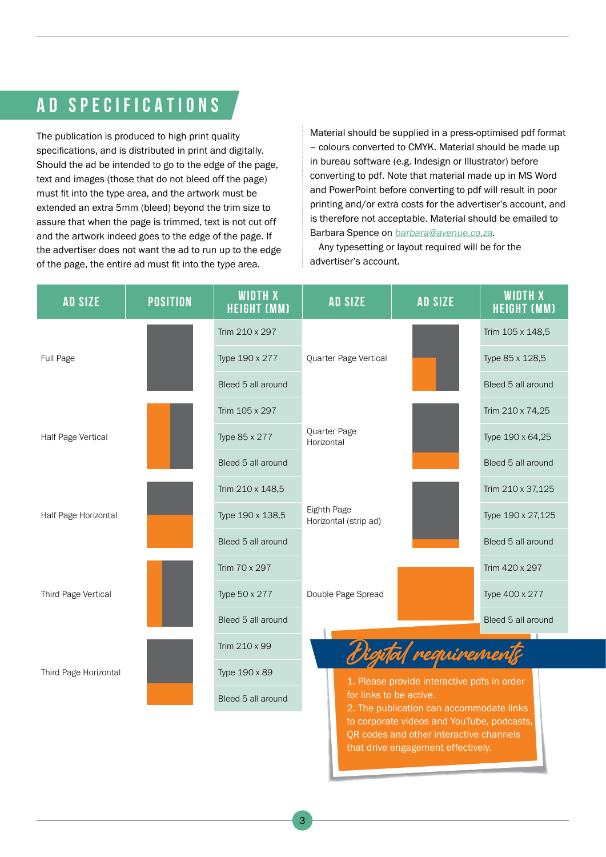### **AD SPECIFICATIONS**

The publication is produced to high print quality specifications, and is distributed in print and digitally. Should the ad be intended to go to the edge of the page, text and images (those that do not bleed off the page) must fit into the type area, and the artwork must be extended an extra 5mm (bleed) beyond the trim size to assure that when the page is trimmed, text is not cut off and the artwork indeed goes to the edge of the page. If the advertiser does not want the ad to run up to the edge of the page, the entire ad must fit into the type area.

Material should be supplied in a press-optimised pdf format – colours converted to CMYK. Material should be made up in bureau software (e.g. Indesign or Illustrator) before converting to pdf. Note that material made up in MS Word and PowerPoint before converting to pdf will result in poor printing and/or extra costs for the advertiser's account, and is therefore not acceptable. Material should be emailed to Barbara Spence on **[barbara@avenue.co.za](mailto:barbara%40avenue.co.za?subject=)**.

Any typesetting or layout required will be for the advertiser's account.

that drive engagement effectively.

| <b>AD SIZE</b>        | <b>POSITION</b> | <b>WIDTH X</b><br><b>HEIGHT (MM)</b> | <b>AD SIZE</b>                       | <b>AD SIZE</b>                                                                        | <b>WIDTH X</b><br><b>HEIGHT (MM)</b> |
|-----------------------|-----------------|--------------------------------------|--------------------------------------|---------------------------------------------------------------------------------------|--------------------------------------|
| Full Page             |                 | Trim 210 x 297                       | Quarter Page Vertical                |                                                                                       | Trim 105 x 148,5                     |
|                       |                 | Type 190 x 277                       |                                      |                                                                                       | Type 85 x 128,5                      |
|                       |                 | Bleed 5 all around                   |                                      |                                                                                       | Bleed 5 all around                   |
| Half Page Vertical    |                 | Trim 105 x 297                       | Quarter Page<br>Horizontal           |                                                                                       | Trim 210 x 74,25                     |
|                       |                 | Type 85 x 277                        |                                      |                                                                                       | Type 190 x 64,25                     |
|                       |                 | Bleed 5 all around                   |                                      |                                                                                       | Bleed 5 all around                   |
| Half Page Horizontal  |                 | Trim 210 x 148,5                     | Eighth Page<br>Horizontal (strip ad) |                                                                                       | Trim 210 x 37,125                    |
|                       |                 | Type 190 x 138,5                     |                                      |                                                                                       | Type 190 x 27,125                    |
|                       |                 | Bleed 5 all around                   |                                      |                                                                                       | Bleed 5 all around                   |
| Third Page Vertical   |                 | Trim 70 x 297                        | Double Page Spread                   |                                                                                       | Trim 420 x 297                       |
|                       |                 | Type 50 x 277                        |                                      |                                                                                       | Type 400 x 277                       |
|                       |                 | Bleed 5 all around                   |                                      |                                                                                       | Bleed 5 all around                   |
| Third Page Horizontal |                 | Trim 210 x 99                        | Digital requirements                 |                                                                                       |                                      |
|                       |                 | Type 190 x 89                        |                                      | 1. Please provide interactive pdfs in order                                           |                                      |
|                       |                 | Bleed 5 all around                   |                                      | for links to be active.<br>2. The publication can accommodate links                   |                                      |
|                       |                 |                                      |                                      | to corporate videos and YouTube, podcasts,<br>QR codes and other interactive channels |                                      |